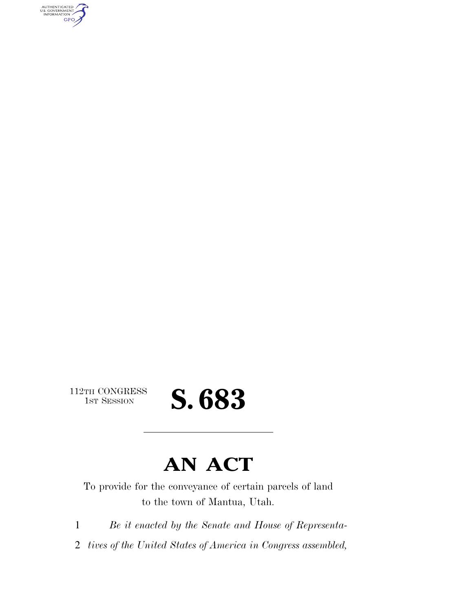AUTHENTICATED<br>U.S. GOVERNMENT<br>INFORMATION GPO

 $\begin{array}{c} \textbf{112TH CONGRESS} \\ \textbf{1ST SESION} \end{array}$ 

## S. 683

## **AN ACT**

To provide for the conveyance of certain parcels of land to the town of Mantua, Utah.

1 *Be it enacted by the Senate and House of Representa-*

2 *tives of the United States of America in Congress assembled,*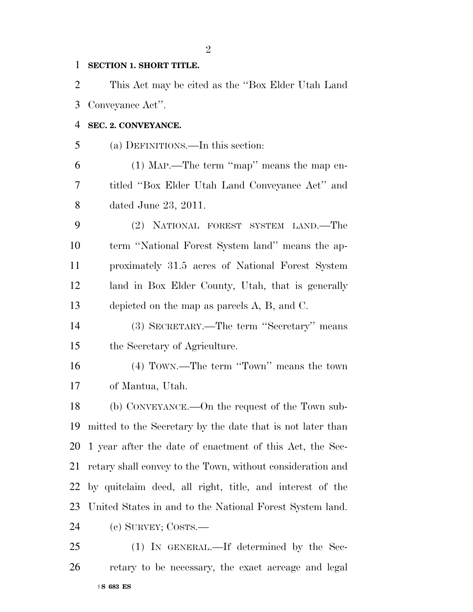**SECTION 1. SHORT TITLE.** 

 This Act may be cited as the ''Box Elder Utah Land Conveyance Act''.

## **SEC. 2. CONVEYANCE.**

(a) DEFINITIONS.—In this section:

 (1) MAP.—The term ''map'' means the map en- titled ''Box Elder Utah Land Conveyance Act'' and dated June 23, 2011.

 (2) NATIONAL FOREST SYSTEM LAND.—The term ''National Forest System land'' means the ap- proximately 31.5 acres of National Forest System land in Box Elder County, Utah, that is generally depicted on the map as parcels A, B, and C.

 (3) SECRETARY.—The term ''Secretary'' means the Secretary of Agriculture.

 (4) TOWN.—The term ''Town'' means the town of Mantua, Utah.

 (b) CONVEYANCE.—On the request of the Town sub- mitted to the Secretary by the date that is not later than 1 year after the date of enactment of this Act, the Sec- retary shall convey to the Town, without consideration and by quitclaim deed, all right, title, and interest of the United States in and to the National Forest System land. (c) SURVEY; COSTS.—

†**S 683 ES** (1) IN GENERAL.—If determined by the Sec-retary to be necessary, the exact acreage and legal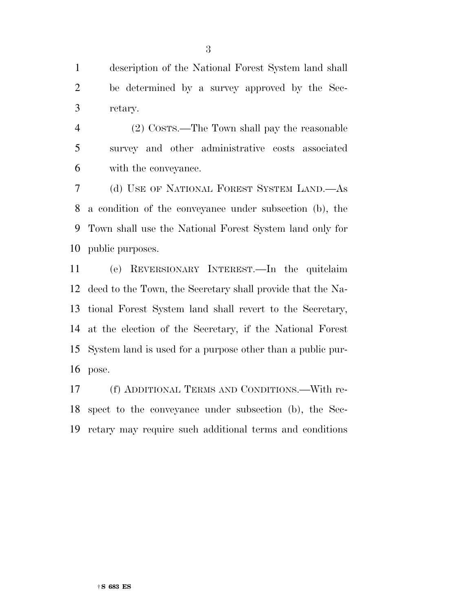description of the National Forest System land shall be determined by a survey approved by the Sec-retary.

 (2) COSTS.—The Town shall pay the reasonable survey and other administrative costs associated with the conveyance.

 (d) USE OF NATIONAL FOREST SYSTEM LAND.—As a condition of the conveyance under subsection (b), the Town shall use the National Forest System land only for public purposes.

 (e) REVERSIONARY INTEREST.—In the quitclaim deed to the Town, the Secretary shall provide that the Na- tional Forest System land shall revert to the Secretary, at the election of the Secretary, if the National Forest System land is used for a purpose other than a public pur-pose.

 (f) ADDITIONAL TERMS AND CONDITIONS.—With re- spect to the conveyance under subsection (b), the Sec-retary may require such additional terms and conditions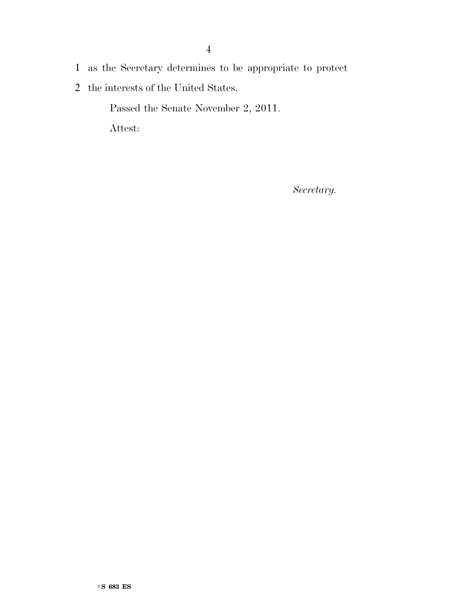- 1 as the Secretary determines to be appropriate to protect
- $2\,\,$  the interests of the United States.

Passed the Senate November 2, 2011.

 $\textit{Attest:}$ 

 $\label{eq:1} Secretary.$